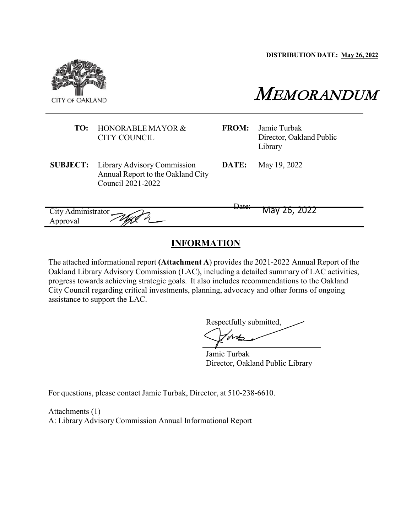**DISTRIBUTION DATE: May 26, 2022**



# MEMORANDUM

**FROM:** Jamie Turbak Director, Oakland Public Library

**SUBJECT:** Library Advisory Commission Annual Report to the Oakland City Council 2021-2022

**TO:** HONORABLE MAYOR & CITY COUNCIL

**DATE:** May 19, 2022

City Administrator Date: May 26, 2022 Approval

# **INFORMATION**

The attached informational report **(Attachment A**) provides the 2021-2022 Annual Report of the Oakland Library Advisory Commission (LAC), including a detailed summary of LAC activities, progress towards achieving strategic goals. It also includes recommendations to the Oakland City Council regarding critical investments, planning, advocacy and other forms of ongoing assistance to support the LAC.

Respectfully submitted,  $M_{\odot}$ 

Jamie Turbak Director, Oakland Public Library

For questions, please contact Jamie Turbak, Director, at 510-238-6610.

Attachments (1) A: Library Advisory Commission Annual Informational Report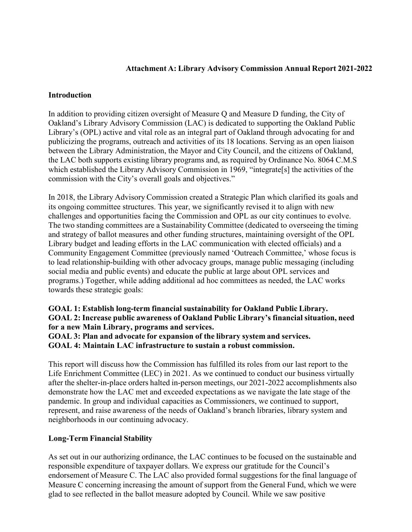# **Attachment A: Library Advisory Commission Annual Report 2021-2022**

#### **Introduction**

In addition to providing citizen oversight of Measure Q and Measure D funding, the City of Oakland's Library Advisory Commission (LAC) is dedicated to supporting the Oakland Public Library's (OPL) active and vital role as an integral part of Oakland through advocating for and publicizing the programs, outreach and activities of its 18 locations. Serving as an open liaison between the Library Administration, the Mayor and City Council, and the citizens of Oakland, the LAC both supports existing library programs and, as required by Ordinance No. 8064 C.M.S which established the Library Advisory Commission in 1969, "integrate[s] the activities of the commission with the City's overall goals and objectives."

In 2018, the Library Advisory Commission created a Strategic Plan which clarified its goals and its ongoing committee structures. This year, we significantly revised it to align with new challenges and opportunities facing the Commission and OPL as our city continues to evolve. The two standing committees are a Sustainability Committee (dedicated to overseeing the timing and strategy of ballot measures and other funding structures, maintaining oversight of the OPL Library budget and leading efforts in the LAC communication with elected officials) and a Community Engagement Committee (previously named 'Outreach Committee,' whose focus is to lead relationship-building with other advocacy groups, manage public messaging (including social media and public events) and educate the public at large about OPL services and programs.) Together, while adding additional ad hoc committees as needed, the LAC works towards these strategic goals:

# **GOAL 1: Establish long-term financial sustainability for Oakland Public Library. GOAL 2: Increase public awareness of Oakland Public Library's financial situation, need for a new Main Library, programs and services.**

#### **GOAL 3: Plan and advocate for expansion of the library system and services. GOAL 4: Maintain LAC infrastructure to sustain a robust commission.**

This report will discuss how the Commission has fulfilled its roles from our last report to the Life Enrichment Committee (LEC) in 2021. As we continued to conduct our business virtually after the shelter-in-place orders halted in-person meetings, our 2021-2022 accomplishments also demonstrate how the LAC met and exceeded expectations as we navigate the late stage of the pandemic. In group and individual capacities as Commissioners, we continued to support, represent, and raise awareness of the needs of Oakland's branch libraries, library system and neighborhoods in our continuing advocacy.

# **Long-Term Financial Stability**

As set out in our authorizing ordinance, the LAC continues to be focused on the sustainable and responsible expenditure of taxpayer dollars. We express our gratitude for the Council's endorsement of Measure C. The LAC also provided formal suggestions for the final language of Measure C concerning increasing the amount of support from the General Fund, which we were glad to see reflected in the ballot measure adopted by Council. While we saw positive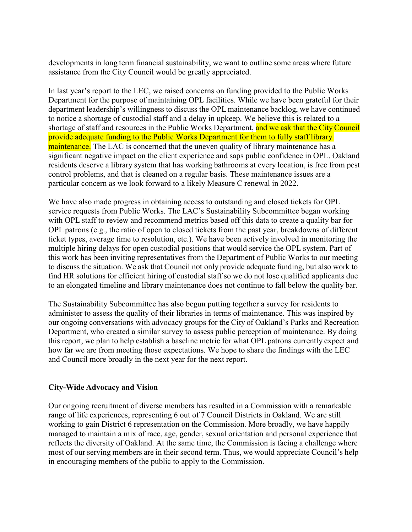developments in long term financial sustainability, we want to outline some areas where future assistance from the City Council would be greatly appreciated.

In last year's report to the LEC, we raised concerns on funding provided to the Public Works Department for the purpose of maintaining OPL facilities. While we have been grateful for their department leadership's willingness to discuss the OPL maintenance backlog, we have continued to notice a shortage of custodial staff and a delay in upkeep. We believe this is related to a shortage of staff and resources in the Public Works Department, and we ask that the City Council provide adequate funding to the Public Works Department for them to fully staff library maintenance. The LAC is concerned that the uneven quality of library maintenance has a significant negative impact on the client experience and saps public confidence in OPL. Oakland residents deserve a library system that has working bathrooms at every location, is free from pest control problems, and that is cleaned on a regular basis. These maintenance issues are a particular concern as we look forward to a likely Measure C renewal in 2022.

We have also made progress in obtaining access to outstanding and closed tickets for OPL service requests from Public Works. The LAC's Sustainability Subcommittee began working with OPL staff to review and recommend metrics based off this data to create a quality bar for OPL patrons (e.g., the ratio of open to closed tickets from the past year, breakdowns of different ticket types, average time to resolution, etc.). We have been actively involved in monitoring the multiple hiring delays for open custodial positions that would service the OPL system. Part of this work has been inviting representatives from the Department of Public Works to our meeting to discuss the situation. We ask that Council not only provide adequate funding, but also work to find HR solutions for efficient hiring of custodial staff so we do not lose qualified applicants due to an elongated timeline and library maintenance does not continue to fall below the quality bar.

The Sustainability Subcommittee has also begun putting together a survey for residents to administer to assess the quality of their libraries in terms of maintenance. This was inspired by our ongoing conversations with advocacy groups for the City of Oakland's Parks and Recreation Department, who created a similar survey to assess public perception of maintenance. By doing this report, we plan to help establish a baseline metric for what OPL patrons currently expect and how far we are from meeting those expectations. We hope to share the findings with the LEC and Council more broadly in the next year for the next report.

# **City-Wide Advocacy and Vision**

Our ongoing recruitment of diverse members has resulted in a Commission with a remarkable range of life experiences, representing 6 out of 7 Council Districts in Oakland. We are still working to gain District 6 representation on the Commission. More broadly, we have happily managed to maintain a mix of race, age, gender, sexual orientation and personal experience that reflects the diversity of Oakland. At the same time, the Commission is facing a challenge where most of our serving members are in their second term. Thus, we would appreciate Council's help in encouraging members of the public to apply to the Commission.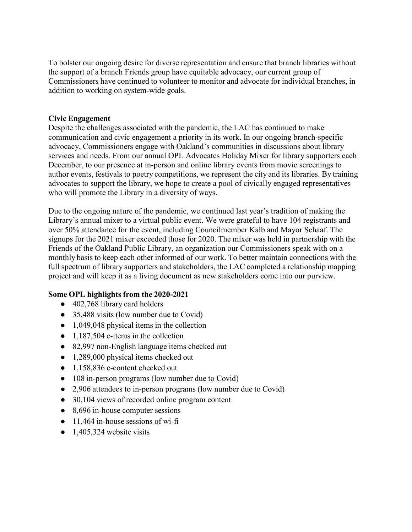To bolster our ongoing desire for diverse representation and ensure that branch libraries without the support of a branch Friends group have equitable advocacy, our current group of Commissioners have continued to volunteer to monitor and advocate for individual branches, in addition to working on system-wide goals.

# **Civic Engagement**

Despite the challenges associated with the pandemic, the LAC has continued to make communication and civic engagement a priority in its work. In our ongoing branch-specific advocacy, Commissioners engage with Oakland's communities in discussions about library services and needs. From our annual OPL Advocates Holiday Mixer for library supporters each December, to our presence at in-person and online library events from movie screenings to author events, festivals to poetry competitions, we represent the city and its libraries. By training advocates to support the library, we hope to create a pool of civically engaged representatives who will promote the Library in a diversity of ways.

Due to the ongoing nature of the pandemic, we continued last year's tradition of making the Library's annual mixer to a virtual public event. We were grateful to have 104 registrants and over 50% attendance for the event, including Councilmember Kalb and Mayor Schaaf. The signups for the 2021 mixer exceeded those for 2020. The mixer was held in partnership with the Friends of the Oakland Public Library, an organization our Commissioners speak with on a monthly basis to keep each other informed of our work. To better maintain connections with the full spectrum of library supporters and stakeholders, the LAC completed a relationship mapping project and will keep it as a living document as new stakeholders come into our purview.

# **Some OPL highlights from the 2020-2021**

- 402,768 library card holders
- 35,488 visits (low number due to Covid)
- 1,049,048 physical items in the collection
- $\bullet$  1,187,504 e-items in the collection
- 82,997 non-English language items checked out
- 1,289,000 physical items checked out
- 1,158,836 e-content checked out
- 108 in-person programs (low number due to Covid)
- 2,906 attendees to in-person programs (low number due to Covid)
- 30,104 views of recorded online program content
- 8,696 in-house computer sessions
- $\bullet$  11,464 in-house sessions of wi-fi
- $\bullet$  1,405,324 website visits